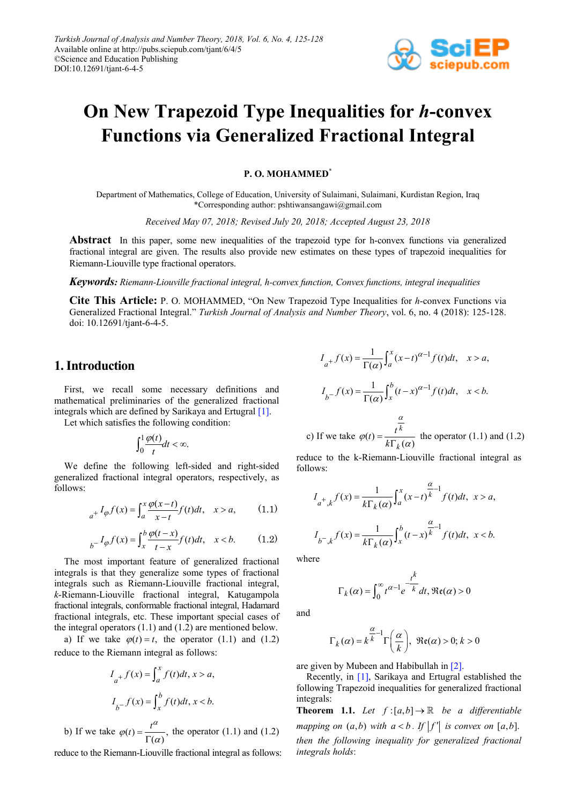

# **On New Trapezoid Type Inequalities for** *h***-convex Functions via Generalized Fractional Integral**

#### **P. O. MOHAMMED\***

Department of Mathematics, College of Education, University of Sulaimani, Sulaimani, Kurdistan Region, Iraq \*Corresponding author: pshtiwansangawi@gmail.com

*Received May 07, 2018; Revised July 20, 2018; Accepted August 23, 2018*

**Abstract** In this paper, some new inequalities of the trapezoid type for h-convex functions via generalized fractional integral are given. The results also provide new estimates on these types of trapezoid inequalities for Riemann-Liouville type fractional operators.

*Keywords: Riemann-Liouville fractional integral, h-convex function, Convex functions, integral inequalities*

**Cite This Article:** P. O. MOHAMMED, "On New Trapezoid Type Inequalities for *h*-convex Functions via Generalized Fractional Integral." *Turkish Journal of Analysis and Number Theory*, vol. 6, no. 4 (2018): 125-128. doi: 10.12691/tjant-6-4-5.

#### **1. Introduction**

First, we recall some necessary definitions and mathematical preliminaries of the generalized fractional integrals which are defined by Sarikaya and Ertugral [\[1\].](#page-3-0)

Let which satisfies the following condition:

$$
\int_0^1 \frac{\varphi(t)}{t} dt < \infty.
$$

We define the following left-sided and right-sided generalized fractional integral operators, respectively, as follows:

$$
{}_{a^{+}}I_{\varphi}f(x) = \int_{a}^{x} \frac{\varphi(x-t)}{x-t} f(t)dt, \quad x > a,
$$
 (1.1)

$$
{}_{b} - I_{\varphi} f(x) = \int_{x}^{b} \frac{\varphi(t - x)}{t - x} f(t) dt, \quad x < b.
$$
 (1.2)

The most important feature of generalized fractional integrals is that they generalize some types of fractional integrals such as Riemann-Liouville fractional integral, *k*-Riemann-Liouville fractional integral, Katugampola fractional integrals, conformable fractional integral, Hadamard fractional integrals, etc. These important special cases of the integral operators (1.1) and (1.2) are mentioned below.

a) If we take  $\varphi(t) = t$ , the operator (1.1) and (1.2) reduce to the Riemann integral as follows:

$$
I_{a^{+}}f(x) = \int_{a}^{x} f(t)dt, x > a,
$$
  

$$
I_{b^{-}}f(x) = \int_{x}^{b} f(t)dt, x < b.
$$

b) If we take  $\varphi(t) = \frac{t^{\alpha}}{\Gamma(\alpha)}$ ,  $\varphi(t) = \frac{1}{\Gamma(\alpha)}$ , the operator (1.1) and (1.2)

reduce to the Riemann-Liouville fractional integral as follows:

$$
I_{a^{+}}f(x) = \frac{1}{\Gamma(\alpha)} \int_{a}^{x} (x-t)^{\alpha-1} f(t)dt, \quad x > a,
$$
  

$$
I_{b^{-}}f(x) = \frac{1}{\Gamma(\alpha)} \int_{x}^{b} (t-x)^{\alpha-1} f(t)dt, \quad x < b.
$$

c) If we take  $\varphi(t) = \frac{t^k}{k \Gamma_k(\alpha)}$ *k*  $t = \frac{t}{k\Gamma}$  $\varphi(t) = \frac{1}{k \Gamma_k(\alpha)}$  the operator (1.1) and (1.2)

reduce to the k-Riemann-Liouville fractional integral as follows:

$$
I_{a^+,k}f(x) = \frac{1}{k\Gamma_k(\alpha)} \int_a^x (x-t)^{\frac{\alpha}{k}-1} f(t)dt, \ x > a,
$$
  

$$
I_{b^-,k}f(x) = \frac{1}{k\Gamma_k(\alpha)} \int_x^b (t-x)^{\frac{\alpha}{k}-1} f(t)dt, \ x < b.
$$

where

$$
\Gamma_k(\alpha) = \int_0^\infty t^{\alpha-1} e^{-\frac{t^k}{k}} dt, \Re(\alpha) > 0
$$

and

$$
\Gamma_k(\alpha) = k^{\frac{\alpha}{k}-1} \Gamma\left(\frac{\alpha}{k}\right), \ \Re\mathfrak{e}(\alpha) > 0; \ k > 0
$$

are given by Mubeen and Habibullah i[n \[2\].](#page-3-1)

Recently, in [\[1\],](#page-3-0) Sarikaya and Ertugral established the following Trapezoid inequalities for generalized fractional integrals:

**Theorem 1.1.** Let  $f:[a,b] \to \mathbb{R}$  be a differentiable *mapping on*  $(a,b)$  *with*  $a < b$ . If  $|f'|$  *is convex on*  $[a,b]$ . *then the following inequality for generalized fractional integrals holds*: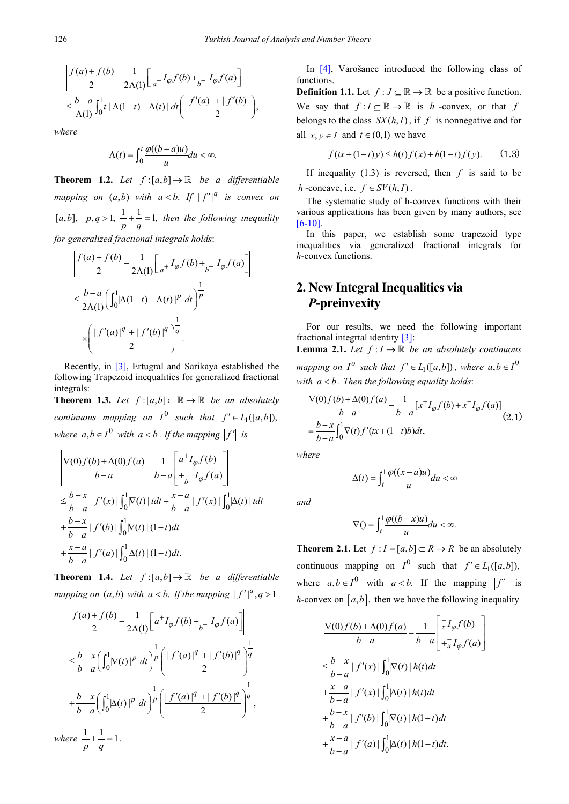$$
\left| \frac{f(a) + f(b)}{2} - \frac{1}{2\Lambda(1)} \left[ a + I_{\varphi} f(b) + I_{\varphi} f(a) \right] \right|
$$
  

$$
\leq \frac{b - a}{\Lambda(1)} \int_0^1 t \left| \Lambda(1 - t) - \Lambda(t) \right| dt \left( \frac{|f'(a)| + |f'(b)|}{2} \right),
$$

*where*

$$
\Lambda(t) = \int_0^t \frac{\varphi((b-a)u)}{u} du < \infty.
$$

**Theorem 1.2.** *Let*  $f:[a,b] \to \mathbb{R}$  *be a differentiable mapping on*  $(a,b)$  *with*  $a < b$ . If  $|f'|^q$  *is convex on* [a,b],  $p, q > 1$ ,  $\frac{1}{p} + \frac{1}{q} = 1$ , then the following inequality *for generalized fractional integrals holds*:

$$
\frac{\left| \frac{f(a) + f(b)}{2} - \frac{1}{2\Lambda(1)} \right|_{a^+} I_{\varphi} f(b) + \int_{b^-} I_{\varphi} f(a) \right|}{\frac{2\Lambda(1)}{2\Lambda(1)}} \left( \int_0^1 |\Lambda(1-t) - \Lambda(t)|^p dt \right)^{\frac{1}{p}}
$$

$$
\times \left( \frac{\left| \int_0^1 (a)^{\frac{q}{2}} + \int_0^1 (b)^{\frac{q}{2}} \right|^{\frac{1}{q}}}{2} \right).
$$

Recently, in [\[3\],](#page-3-2) Ertugral and Sarikaya established the following Trapezoid inequalities for generalized fractional integrals:

**Theorem 1.3.** *Let*  $f:[a,b]\subset\mathbb{R}\rightarrow\mathbb{R}$  *be an absolutely continuous mapping on*  $I^0$  *such that*  $f' \in L_1([a,b])$ , *where*  $a, b \in I^0$  *with*  $a < b$ . If the mapping  $|f'|$  is

$$
\left| \frac{\nabla(0)f(b) + \Delta(0)f(a)}{b - a} - \frac{1}{b - a} \left[ \frac{a^{+}I_{\varphi}f(b)}{t_{b} - I_{\varphi}f(a)} \right] \right|
$$
  
\n
$$
\leq \frac{b - x}{b - a} |f'(x)| \int_{0}^{1} |\nabla(t)| dt + \frac{x - a}{b - a} |f'(x)| \int_{0}^{1} |\Delta(t)| dt
$$
  
\n
$$
+ \frac{b - x}{b - a} |f'(b)| \int_{0}^{1} |\nabla(t)| (1 - t) dt
$$
  
\n
$$
+ \frac{x - a}{b - a} |f'(a)| \int_{0}^{1} |\Delta(t)| (1 - t) dt.
$$

**Theorem 1.4.** Let  $f:[a,b] \to \mathbb{R}$  be a differentiable *mapping on*  $(a,b)$  *with*  $a < b$ . If the mapping  $|f'|^q$ ,  $q > 1$ 

$$
\left| \frac{f(a) + f(b)}{2} - \frac{1}{2\Lambda(1)} \left[ a^{+} I_{\varphi} f(b) + \frac{I_{\varphi} f(a)}{2} \right] \right|
$$
  

$$
\leq \frac{b - x}{b - a} \left( \int_{0}^{1} |\nabla(t)|^{p} dt \right)^{\frac{1}{p}} \left( \frac{|f'(a)|^{q} + |f'(b)|^{q}}{2} \right)^{\frac{1}{q}}
$$
  

$$
+ \frac{b - x}{b - a} \left( \int_{0}^{1} |\Delta(t)|^{p} dt \right)^{\frac{1}{p}} \left( \frac{|f'(a)|^{q} + |f'(b)|^{q}}{2} \right)^{\frac{1}{q}},
$$

*where*  $\frac{1}{p} + \frac{1}{q} = 1$ .

In [\[4\],](#page-3-3) Varošanec introduced the following class of functions.

**Definition 1.1.** Let  $f: J \subseteq \mathbb{R} \to \mathbb{R}$  be a positive function. We say that  $f: I \subseteq \mathbb{R} \to \mathbb{R}$  is *h* -convex, or that *f* belongs to the class  $SX(h, I)$ , if f is nonnegative and for all  $x, y \in I$  and  $t \in (0,1)$  we have

$$
f(tx+(1-t)y) \le h(t)f(x) + h(1-t)f(y). \qquad (1.3)
$$

If inequality (1.3) is reversed, then *f* is said to be *h* -concave, i.e.  $f \in SV(h, I)$ .

The systematic study of h-convex functions with their various applications has been given by many authors, see [\[6-10\].](#page-3-4)

In this paper, we establish some trapezoid type inequalities via generalized fractional integrals for *h*-convex functions.

## **2. New Integral Inequalities via**  *P***-preinvexity**

For our results, we need the following important fractional integrtal identity [\[3\]:](#page-3-2) **Lemma 2.1.** *Let*  $f: I \to \mathbb{R}$  *be an absolutely continuous mapping on*  $I^o$  *such that*  $f' \in L_1([a,b])$ *, where*  $a, b \in I^0$ with  $a < b$ . Then the following equality holds:

$$
\frac{\nabla(0)f(b) + \Delta(0)f(a)}{b-a} - \frac{1}{b-a} [x^+ I_{\varphi}f(b) + x^- I_{\varphi}f(a)]
$$
  
= 
$$
\frac{b-x}{b-a} \int_0^1 \nabla(t)f'(tx + (1-t)b)dt,
$$
 (2.1)

*where*

$$
\Delta(t) = \int_t^1 \frac{\varphi((x-a)u)}{u} du < \infty
$$

*and*

$$
\nabla() = \int_t^1 \frac{\varphi((b-x)u)}{u} du < \infty.
$$

**Theorem 2.1.** Let  $f: I = [a,b] \subset R \rightarrow R$  be an absolutely continuous mapping on  $I^0$  such that  $f' \in L_1([a,b])$ , where  $a, b \in I^0$  with  $a < b$ . If the mapping  $|f'|$  is *h*-convex on  $[a, b]$ , then we have the following inequality

$$
\frac{\nabla(0)f(b) + \Delta(0)f(a)}{b-a} - \frac{1}{b-a} \begin{bmatrix} \frac{+}{x}I_{\varphi}f(b) \\ \frac{+}{x}I_{\varphi}f(a) \end{bmatrix}
$$
  
\n
$$
\leq \frac{b-x}{b-a} |f'(x)| \int_0^1 |\Delta(t)| h(t) dt
$$
  
\n
$$
+ \frac{x-a}{b-a} |f'(x)| \int_0^1 |\Delta(t)| h(t) dt
$$
  
\n
$$
+ \frac{b-x}{b-a} |f'(b)| \int_0^1 |\nabla(t)| h(1-t) dt
$$
  
\n
$$
+ \frac{x-a}{b-a} |f'(a)| \int_0^1 |\Delta(t)| h(1-t) dt.
$$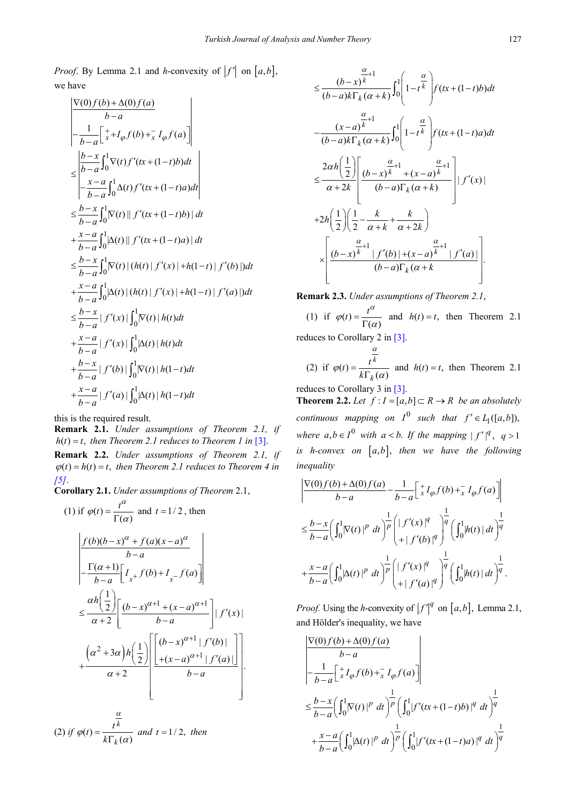*Proof.* By Lemma 2.1 and *h*-convexity of  $|f'|$  on  $[a,b]$ , we have

$$
\frac{\nabla(0) f(b) + \Delta(0) f(a)}{b-a}
$$
\n
$$
-\frac{1}{b-a} \left[ \frac{1}{x} + I_{\varphi} f(b) + \frac{1}{x} I_{\varphi} f(a) \right]
$$
\n
$$
\leq \frac{|b-x|}{|b-a|} \int_{0}^{1} \nabla(t) f'(tx + (1-t)b) dt
$$
\n
$$
\leq \frac{x-a}{b-a} \int_{0}^{1} \Delta(t) f'(tx + (1-t)a) dt
$$
\n
$$
\leq \frac{b-x}{b-a} \int_{0}^{1} |\Delta(t)| |f'(tx + (1-t)a)| dt
$$
\n
$$
+\frac{x-a}{b-a} \int_{0}^{1} |\Delta(t)| |f'(tx + (1-t)a)| dt
$$
\n
$$
\leq \frac{b-x}{b-a} \int_{0}^{1} |\Delta(t)| (h(t) |f'(x)| + h(1-t) |f'(b)|) dt
$$
\n
$$
+\frac{x-a}{b-a} \int_{0}^{1} |\Delta(t)| (h(t) |f'(x)| + h(1-t) |f'(a)|) dt
$$
\n
$$
\leq \frac{b-x}{b-a} |f'(x)| \int_{0}^{1} |\nabla(t)| h(t) dt
$$
\n
$$
+\frac{x-a}{b-a} |f'(b)| \int_{0}^{1} |\Delta(t)| h(1-t) dt
$$
\n
$$
+\frac{x-a}{b-a} |f'(a)| \int_{0}^{1} |\Delta(t)| h(1-t) dt
$$

this is the required result.

**Remark 2.1.** *Under assumptions of Theorem 2.1, if*   $h(t) = t$ , then Theorem 2.1 reduces to Theorem 1 in [\[3\].](#page-3-2) **Remark 2.2.** *Under assumptions of Theorem 2.1, if*   $\varphi(t) = h(t) = t$ , then Theorem 2.1 reduces to Theorem 4 in *[\[5\]](#page-3-5)*.

**Corollary 2.1.** *Under assumptions of Theorem* 2.1,

(1) if 
$$
\varphi(t) = \frac{t^{\alpha}}{\Gamma(\alpha)}
$$
 and  $t = 1/2$ , then  
\n
$$
\frac{\left|f(b)(b-x)^{\alpha} + f(a)(x-a)^{\alpha}}{b-a}\right|
$$
\n
$$
= \frac{\Gamma(\alpha+1)}{b-a} \left[ I_x + f(b) + I_x - f(a) \right]
$$
\n
$$
\leq \frac{\alpha h \left(\frac{1}{2}\right)}{\alpha+2} \left[ \frac{(b-x)^{\alpha+1} + (x-a)^{\alpha+1}}{b-a} \right] |f'(x)|
$$
\n
$$
+ \frac{\left(\alpha^2 + 3\alpha\right)h \left(\frac{1}{2}\right) \left[ \frac{\left[(b-x)^{\alpha+1} + f'(b)\right]}{+(x-a)^{\alpha+1} + f'(a) \right]}{b-a} \right].
$$

(2) if 
$$
\varphi(t) = \frac{t^{\frac{\alpha}{k}}}{k \Gamma_k(\alpha)}
$$
 and  $t = 1/2$ , then

$$
\leq \frac{(b-x)^{\frac{\alpha}{k}+1}}{(b-a)k\Gamma_{k}(\alpha+k)} \int_{0}^{1} \left(1-t^{\frac{\alpha}{k}}\right) f(tx+(1-t)b)dt
$$
  

$$
-\frac{(x-a)^{\frac{\alpha}{k}+1}}{(b-a)k\Gamma_{k}(\alpha+k)} \int_{0}^{1} \left(1-t^{\frac{\alpha}{k}}\right) f(tx+(1-t)a)dt
$$
  

$$
\leq \frac{2\alpha h\left(\frac{1}{2}\right)}{\alpha+2k} \left[\frac{(b-x)^{\frac{\alpha}{k}+1}+(x-a)^{\frac{\alpha}{k}+1}}{(b-a)\Gamma_{k}(\alpha+k)}\right] |f'(x)|
$$
  
+2h
$$
\left(\frac{1}{2}\right) \left(\frac{1}{2}-\frac{k}{\alpha+k}+\frac{k}{\alpha+2k}\right)
$$
  

$$
\times \left[\frac{(b-x)^{\frac{\alpha}{k}+1} |f'(b)|+(x-a)^{\frac{\alpha}{k}+1} |f'(a)|}{(b-a)\Gamma_{k}(\alpha+k)}\right].
$$

**Remark 2.3.** *Under assumptions of Theorem 2.1*,

(1) if  $\varphi(t) = \frac{t^{\alpha}}{\Gamma(\alpha)}$  $\varphi(t) = \frac{t}{\Gamma(\alpha)}$  and  $h(t) = t$ , then Theorem 2.1

reduces to Corollary 2 in [\[3\].](#page-3-2)

(2) if 
$$
\varphi(t) = \frac{t^{\frac{\alpha}{k}}}{k\Gamma_k(\alpha)}
$$
 and  $h(t) = t$ , then Theorem 2.1

reduces to Corollary 3 in [\[3\].](#page-3-2)

**Theorem 2.2.** *Let*  $f : I = [a,b] \subset R \rightarrow R$  *be an absolutely continuous mapping on*  $I^0$  *such that*  $f' \in L_1([a,b]),$ *where*  $a, b \in I^0$  *with*  $a < b$ . If the mapping  $|f'|^q$ ,  $q > 1$ *is h-convex on*  $[a,b]$ , then we have the *following inequality*

$$
\frac{\left|\nabla(0)f(b) + \Delta(0)f(a)\right|}{b-a} - \frac{1}{b-a} \left[\n\begin{array}{c}\n\frac{1}{x}I_{\varphi}f(b) + \frac{1}{x}I_{\varphi}f(a)\n\end{array}\n\right]\n\n\leq \frac{b-x}{b-a} \left(\int_0^1 |\nabla(t)|^p dt\right)^{\frac{1}{p}} \left(\int_0^1 |f'(x)|^q\right)^{\frac{1}{q}} \left(\int_0^1 |h(t)| dt\right)^{\frac{1}{q}}\n\n+ \frac{x-a}{b-a} \left(\int_0^1 |\Delta(t)|^p dt\right)^{\frac{1}{p}} \left(\int_0^1 |f'(x)|^q\right)^{\frac{1}{q}} \left(\int_0^1 |h(t)| dt\right)^{\frac{1}{q}}.
$$

*Proof.* Using the *h*-convexity of  $|f'|^q$  on  $[a,b]$ , Lemma 2.1, and Hölder's inequality, we have

$$
\begin{aligned}\n\frac{\nabla(0)f(b) + \Delta(0)f(a)}{b-a} \\
&= \frac{1}{b-a} \left[ \frac{1}{x} I_{\varphi} f(b) + \frac{1}{x} I_{\varphi} f(a) \right] \\
&\leq \frac{b-x}{b-a} \left( \int_0^1 |\nabla(t)|^p dt \right)^{\frac{1}{p}} \left( \int_0^1 |f'(tx + (1-t)b)|^q dt \right)^{\frac{1}{q}} \\
&+ \frac{x-a}{b-a} \left( \int_0^1 |\Delta(t)|^p dt \right)^{\frac{1}{p}} \left( \int_0^1 |f'(tx + (1-t)a)|^q dt \right)^{\frac{1}{q}}\n\end{aligned}
$$